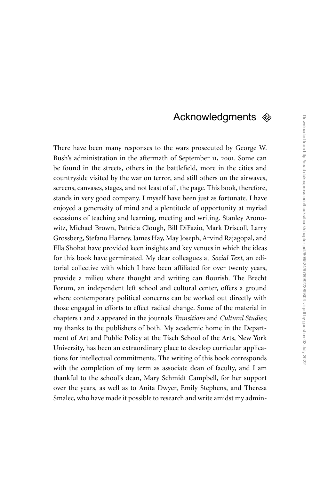## Acknowledgments  $\otimes$

There have been many responses to the wars prosecuted by George W. Bush's administration in the aftermath of September 11, 2001. Some can be found in the streets, others in the battlefield, more in the cities and countryside visited by the war on terror, and still others on the airwaves, screens, canvases, stages, and not least of all, the page. This book, therefore, stands in very good company. I myself have been just as fortunate. I have enjoyed a generosity of mind and a plentitude of opportunity at myriad occasions of teaching and learning, meeting and writing. Stanley Aronowitz, Michael Brown, Patricia Clough, Bill DiFazio, Mark Driscoll, Larry Grossberg, Stefano Harney, James Hay, May Joseph, Arvind Rajagopal, and Ella Shohat have provided keen insights and key venues in which the ideas for this book have germinated. My dear colleagues at *Social Text*, an editorial collective with which I have been affiliated for over twenty years, provide a milieu where thought and writing can flourish. The Brecht Forum, an independent left school and cultural center, offers a ground where contemporary political concerns can be worked out directly with those engaged in efforts to effect radical change. Some of the material in chapters 1 and 2 appeared in the journals *Transitions* and *Cultural Studies*; my thanks to the publishers of both. My academic home in the Department of Art and Public Policy at the Tisch School of the Arts, New York University, has been an extraordinary place to develop curricular applications for intellectual commitments. The writing of this book corresponds with the completion of my term as associate dean of faculty, and I am thankful to the school's dean, Mary Schmidt Campbell, for her support over the years, as well as to Anita Dwyer, Emily Stephens, and Theresa Smalec, who have made it possible to research and write amidst my admin